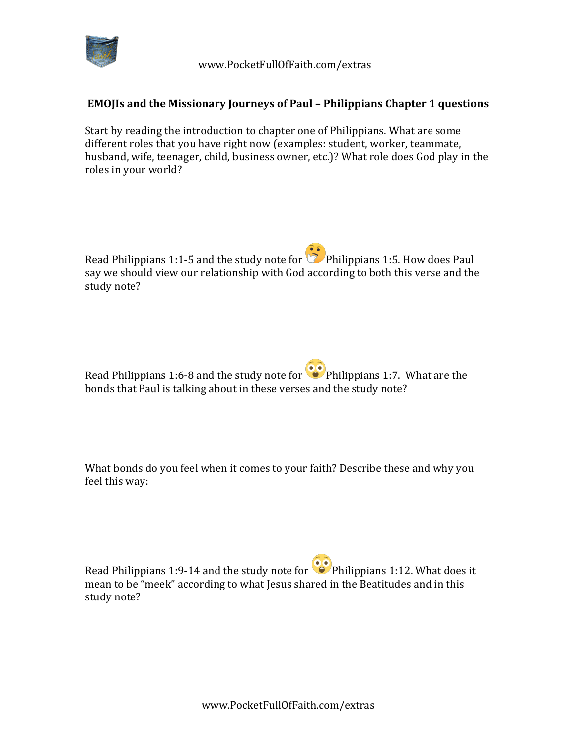

## **EMOJIs and the Missionary Journeys of Paul - Philippians Chapter 1 questions**

Start by reading the introduction to chapter one of Philippians. What are some different roles that you have right now (examples: student, worker, teammate, husband, wife, teenager, child, business owner, etc.)? What role does God play in the roles in your world?

Read Philippians 1:1-5 and the study note for  $\mathbb{C}$  Philippians 1:5. How does Paul say we should view our relationship with God according to both this verse and the study note?

Read Philippians 1:6-8 and the study note for  $\bullet$  Philippians 1:7. What are the bonds that Paul is talking about in these verses and the study note?

What bonds do you feel when it comes to your faith? Describe these and why you feel this way:

Read Philippians 1:9-14 and the study note for  $\bullet$  Philippians 1:12. What does it mean to be "meek" according to what Jesus shared in the Beatitudes and in this study note?